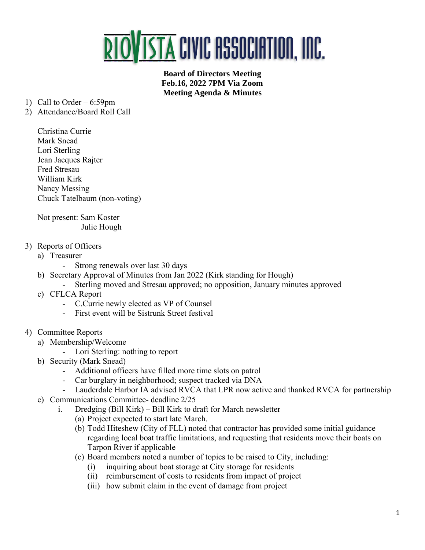

**Board of Directors Meeting Feb.16, 2022 7PM Via Zoom Meeting Agenda & Minutes**

- 1) Call to Order 6:59pm
- 2) Attendance/Board Roll Call
	- Christina Currie Mark Snead Lori Sterling Jean Jacques Rajter Fred Stresau William Kirk Nancy Messing Chuck Tatelbaum (non-voting)

Not present: Sam Koster Julie Hough

- 3) Reports of Officers
	- a) Treasurer
		- Strong renewals over last 30 days
	- b) Secretary Approval of Minutes from Jan 2022 (Kirk standing for Hough)
	- Sterling moved and Stresau approved; no opposition, January minutes approved
	- c) CFLCA Report
		- C.Currie newly elected as VP of Counsel
		- First event will be Sistrunk Street festival
- 4) Committee Reports
	- a) Membership/Welcome
		- Lori Sterling: nothing to report
	- b) Security (Mark Snead)
		- Additional officers have filled more time slots on patrol
		- Car burglary in neighborhood; suspect tracked via DNA
		- Lauderdale Harbor IA advised RVCA that LPR now active and thanked RVCA for partnership
	- c) Communications Committee- deadline 2/25
		- i. Dredging (Bill Kirk) Bill Kirk to draft for March newsletter
			- (a) Project expected to start late March.
			- (b) Todd Hiteshew (City of FLL) noted that contractor has provided some initial guidance regarding local boat traffic limitations, and requesting that residents move their boats on Tarpon River if applicable
			- (c) Board members noted a number of topics to be raised to City, including:
				- (i) inquiring about boat storage at City storage for residents
				- (ii) reimbursement of costs to residents from impact of project
				- (iii) how submit claim in the event of damage from project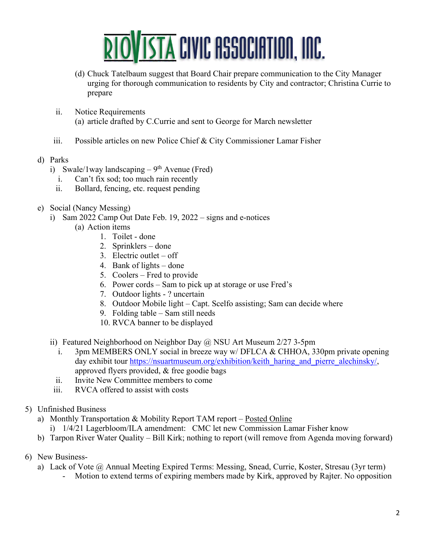

- (d) Chuck Tatelbaum suggest that Board Chair prepare communication to the City Manager urging for thorough communication to residents by City and contractor; Christina Currie to prepare
- ii. Notice Requirements (a) article drafted by C.Currie and sent to George for March newsletter
- iii. Possible articles on new Police Chief & City Commissioner Lamar Fisher
- d) Parks
	- i) Swale/1 way landscaping  $-9<sup>th</sup>$  Avenue (Fred)
		- i. Can't fix sod; too much rain recently
		- ii. Bollard, fencing, etc. request pending
- e) Social (Nancy Messing)
	- i) Sam 2022 Camp Out Date Feb. 19, 2022 signs and e-notices
		- (a) Action items
			- 1. Toilet done
			- 2. Sprinklers done
			- 3. Electric outlet off
			- 4. Bank of lights done
			- 5. Coolers Fred to provide
			- 6. Power cords Sam to pick up at storage or use Fred's
			- 7. Outdoor lights ? uncertain
			- 8. Outdoor Mobile light Capt. Scelfo assisting; Sam can decide where
			- 9. Folding table Sam still needs
			- 10. RVCA banner to be displayed
	- ii) Featured Neighborhood on Neighbor Day @ NSU Art Museum 2/27 3-5pm
		- i. 3pm MEMBERS ONLY social in breeze way w/ DFLCA & CHHOA, 330pm private opening day exhibit tour [https://nsuartmuseum.org/exhibition/keith\\_haring\\_and\\_pierre\\_alechinsky/,](https://nsuartmuseum.org/exhibition/keith_haring_and_pierre_alechinsky/) approved flyers provided, & free goodie bags
		- ii. Invite New Committee members to come
	- iii. RVCA offered to assist with costs
- 5) Unfinished Business
	- a) Monthly Transportation & Mobility Report TAM report [Posted Online](https://www.riovistaonline.com/city-county-info/transportation-and-mobility-status-reports)
		- i) 1/4/21 Lagerbloom/ILA amendment: CMC let new Commission Lamar Fisher know
	- b) Tarpon River Water Quality Bill Kirk; nothing to report (will remove from Agenda moving forward)
- 6) New Business
	- a) Lack of Vote @ Annual Meeting Expired Terms: Messing, Snead, Currie, Koster, Stresau (3yr term)
		- Motion to extend terms of expiring members made by Kirk, approved by Rajter. No opposition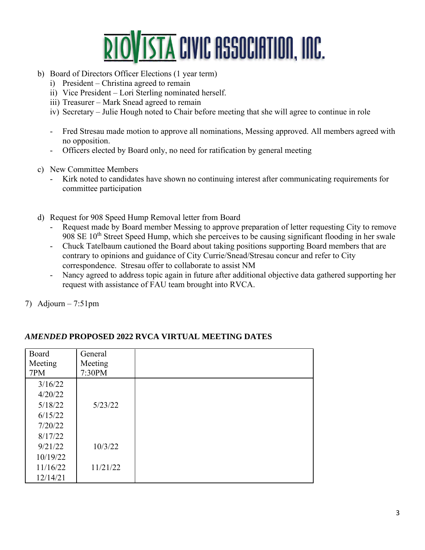

- b) Board of Directors Officer Elections (1 year term)
	- i) President Christina agreed to remain
	- ii) Vice President Lori Sterling nominated herself.
	- iii) Treasurer Mark Snead agreed to remain
	- iv) Secretary Julie Hough noted to Chair before meeting that she will agree to continue in role
	- Fred Stresau made motion to approve all nominations, Messing approved. All members agreed with no opposition.
	- Officers elected by Board only, no need for ratification by general meeting
- c) New Committee Members
	- Kirk noted to candidates have shown no continuing interest after communicating requirements for committee participation
- d) Request for 908 Speed Hump Removal letter from Board
	- Request made by Board member Messing to approve preparation of letter requesting City to remove 908 SE  $10<sup>th</sup>$  Street Speed Hump, which she perceives to be causing significant flooding in her swale
	- Chuck Tatelbaum cautioned the Board about taking positions supporting Board members that are contrary to opinions and guidance of City Currie/Snead/Stresau concur and refer to City correspondence. Stresau offer to collaborate to assist NM
	- Nancy agreed to address topic again in future after additional objective data gathered supporting her request with assistance of FAU team brought into RVCA.

7) Adjourn  $-7:51$ pm

| Board<br>Meeting<br>7PM | General<br>Meeting<br>7:30PM |  |
|-------------------------|------------------------------|--|
|                         |                              |  |
| 3/16/22                 |                              |  |
| 4/20/22                 |                              |  |
| 5/18/22                 | 5/23/22                      |  |
| 6/15/22                 |                              |  |
| 7/20/22                 |                              |  |
| 8/17/22                 |                              |  |
| 9/21/22                 | 10/3/22                      |  |
| 10/19/22                |                              |  |
| 11/16/22                | 11/21/22                     |  |
| 12/14/21                |                              |  |

## *AMENDED* **PROPOSED 2022 RVCA VIRTUAL MEETING DATES**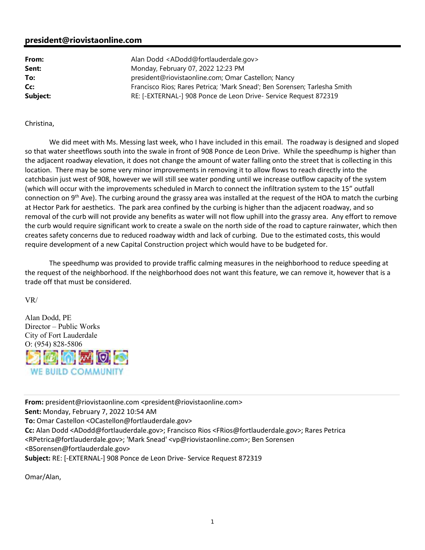## **president@riovistaonline.com**

**From:** Alan Dodd <ADodd@fortlauderdale.gov> **Sent:** Monday, February 07, 2022 12:23 PM **To:** president@riovistaonline.com; Omar Castellon; Nancy **Cc:** Francisco Rios; Rares Petrica; 'Mark Snead'; Ben Sorensen; Tarlesha Smith **Subject:** RE: [-EXTERNAL-] 908 Ponce de Leon Drive- Service Request 872319

## Christina,

 We did meet with Ms. Messing last week, who I have included in this email. The roadway is designed and sloped so that water sheetflows south into the swale in front of 908 Ponce de Leon Drive. While the speedhump is higher than the adjacent roadway elevation, it does not change the amount of water falling onto the street that is collecting in this location. There may be some very minor improvements in removing it to allow flows to reach directly into the catchbasin just west of 908, however we will still see water ponding until we increase outflow capacity of the system (which will occur with the improvements scheduled in March to connect the infiltration system to the 15" outfall connection on 9<sup>th</sup> Ave). The curbing around the grassy area was installed at the request of the HOA to match the curbing at Hector Park for aesthetics. The park area confined by the curbing is higher than the adjacent roadway, and so removal of the curb will not provide any benefits as water will not flow uphill into the grassy area. Any effort to remove the curb would require significant work to create a swale on the north side of the road to capture rainwater, which then creates safety concerns due to reduced roadway width and lack of curbing. Due to the estimated costs, this would require development of a new Capital Construction project which would have to be budgeted for.

 The speedhump was provided to provide traffic calming measures in the neighborhood to reduce speeding at the request of the neighborhood. If the neighborhood does not want this feature, we can remove it, however that is a trade off that must be considered.

VR/

Alan Dodd, PE Director – Public Works City of Fort Lauderdale O: (954) 828-5806 **MWIO WE BUILD COMMUNIT** 

**From:** president@riovistaonline.com <president@riovistaonline.com> **Sent:** Monday, February 7, 2022 10:54 AM **To:** Omar Castellon <OCastellon@fortlauderdale.gov> **Cc:** Alan Dodd <ADodd@fortlauderdale.gov>; Francisco Rios <FRios@fortlauderdale.gov>; Rares Petrica <RPetrica@fortlauderdale.gov>; 'Mark Snead' <vp@riovistaonline.com>; Ben Sorensen <BSorensen@fortlauderdale.gov> **Subject:** RE: [-EXTERNAL-] 908 Ponce de Leon Drive- Service Request 872319

Omar/Alan,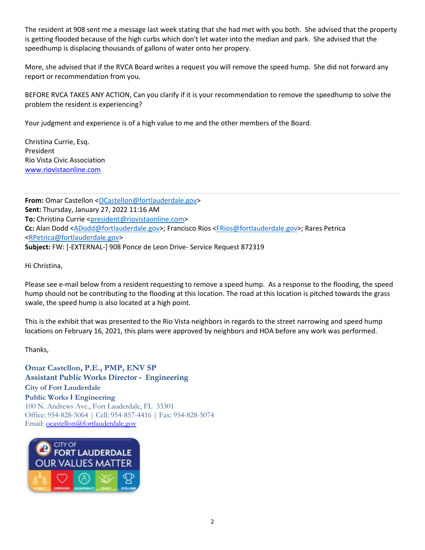The resident at 908 sent me a message last week stating that she had met with you both. She advised that the property is getting flooded because of the high curbs which don't let water into the median and park. She advised that the speedhump is displacing thousands of gallons of water onto her propery.

More, she advised that if the RVCA Board writes a request you will remove the speed hump. She did not forward any report or recommendation from you.

BEFORE RVCA TAKES ANY ACTION, Can you clarify if it is your recommendation to remove the speedhump to solve the problem the resident is experiencing?

Your judgment and experience is of a high value to me and the other members of the Board.

Christina Currie, Esq. President Rio Vista Civic Association www.riovistaonline.com

**From:** Omar Castellon <OCastellon@fortlauderdale.gov> **Sent:** Thursday, January 27, 2022 11:16 AM **To:** Christina Currie <president@riovistaonline.com> **Cc:** Alan Dodd <ADodd@fortlauderdale.gov>; Francisco Rios <FRios@fortlauderdale.gov>; Rares Petrica <RPetrica@fortlauderdale.gov> **Subject:** FW: [-EXTERNAL-] 908 Ponce de Leon Drive- Service Request 872319

Hi Christina,

Please see e-mail below from a resident requesting to remove a speed hump. As a response to the flooding, the speed hump should not be contributing to the flooding at this location. The road at this location is pitched towards the grass swale, the speed hump is also located at a high point.

This is the exhibit that was presented to the Rio Vista neighbors in regards to the street narrowing and speed hump locations on February 16, 2021, this plans were approved by neighbors and HOA before any work was performed.

Thanks,

**Omar Castellon, P.E., PMP, ENV SP Assistant Public Works Director - Engineering City of Fort Lauderdale Public Works I Engineering**  100 N. Andrews Ave., Fort Lauderdale, FL 33301 Office: 954-828-5064 | Cell: 954-857-4416 | Fax: 954-828-5074 Email: ocastellon@fortlauderdale.gov

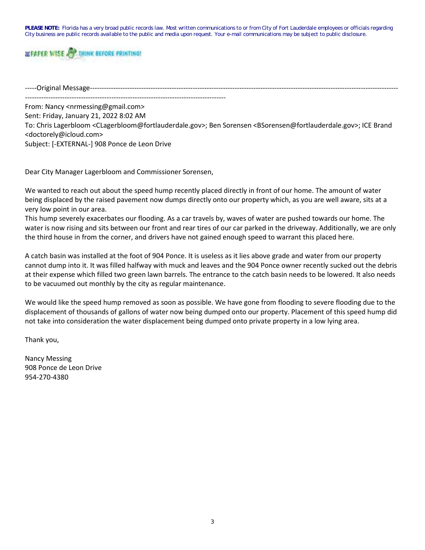**PLEASE NOTE:** Florida has a very broad public records law. Most written communications to or from City of Fort Lauderdale employees or officials regarding City business are public records available to the public and media upon request. Your e-mail communications may be subject to public disclosure.



-----Original Message------------------------------------------------------------------------------------------------------------------------------------

--------------------------------------------------------------------------------------

From: Nancy <nrmessing@gmail.com> Sent: Friday, January 21, 2022 8:02 AM To: Chris Lagerbloom <CLagerbloom@fortlauderdale.gov>; Ben Sorensen <BSorensen@fortlauderdale.gov>; ICE Brand <doctorely@icloud.com> Subject: [-EXTERNAL-] 908 Ponce de Leon Drive

Dear City Manager Lagerbloom and Commissioner Sorensen,

We wanted to reach out about the speed hump recently placed directly in front of our home. The amount of water being displaced by the raised pavement now dumps directly onto our property which, as you are well aware, sits at a very low point in our area.

This hump severely exacerbates our flooding. As a car travels by, waves of water are pushed towards our home. The water is now rising and sits between our front and rear tires of our car parked in the driveway. Additionally, we are only the third house in from the corner, and drivers have not gained enough speed to warrant this placed here.

A catch basin was installed at the foot of 904 Ponce. It is useless as it lies above grade and water from our property cannot dump into it. It was filled halfway with muck and leaves and the 904 Ponce owner recently sucked out the debris at their expense which filled two green lawn barrels. The entrance to the catch basin needs to be lowered. It also needs to be vacuumed out monthly by the city as regular maintenance.

We would like the speed hump removed as soon as possible. We have gone from flooding to severe flooding due to the displacement of thousands of gallons of water now being dumped onto our property. Placement of this speed hump did not take into consideration the water displacement being dumped onto private property in a low lying area.

Thank you,

Nancy Messing 908 Ponce de Leon Drive 954-270-4380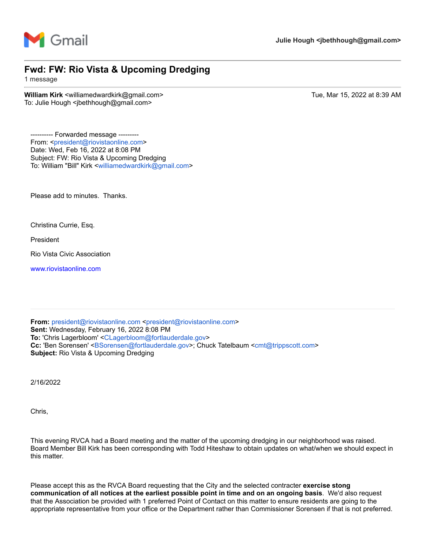

## **Fwd: FW: Rio Vista & Upcoming Dredging**

1 message

**William Kirk** <williamedwardkirk@gmail.com> Tue, Mar 15, 2022 at 8:39 AM To: Julie Hough <jbethhough@gmail.com>

---------- Forwarded message -------- From: <[president@riovistaonline.com>](mailto:president@riovistaonline.com) Date: Wed, Feb 16, 2022 at 8:08 PM Subject: FW: Rio Vista & Upcoming Dredging To: William "Bill" Kirk <[williamedwardkirk@gmail.com](mailto:williamedwardkirk@gmail.com)>

Please add to minutes. Thanks.

Christina Currie, Esq.

President

Rio Vista Civic Association

[www.riovistaonline.com](http://www.riovistaonline.com/)

**From:** [president@riovistaonline.com](mailto:president@riovistaonline.com) [<president@riovistaonline.com>](mailto:president@riovistaonline.com) **Sent:** Wednesday, February 16, 2022 8:08 PM **To:** 'Chris Lagerbloom' [<CLagerbloom@fortlauderdale.gov>](mailto:CLagerbloom@fortlauderdale.gov) **Cc:** 'Ben Sorensen' [<BSorensen@fortlauderdale.gov>](mailto:BSorensen@fortlauderdale.gov); Chuck Tatelbaum [<cmt@trippscott.com>](mailto:cmt@trippscott.com) **Subject:** Rio Vista & Upcoming Dredging

2/16/2022

Chris,

This evening RVCA had a Board meeting and the matter of the upcoming dredging in our neighborhood was raised. Board Member Bill Kirk has been corresponding with Todd Hiteshaw to obtain updates on what/when we should expect in this matter.

Please accept this as the RVCA Board requesting that the City and the selected contracter **exercise stong communication of all notices at the earliest possible point in time and on an ongoing basis**. We'd also request that the Association be provided with 1 preferred Point of Contact on this matter to ensure residents are going to the appropriate representative from your office or the Department rather than Commissioner Sorensen if that is not preferred.